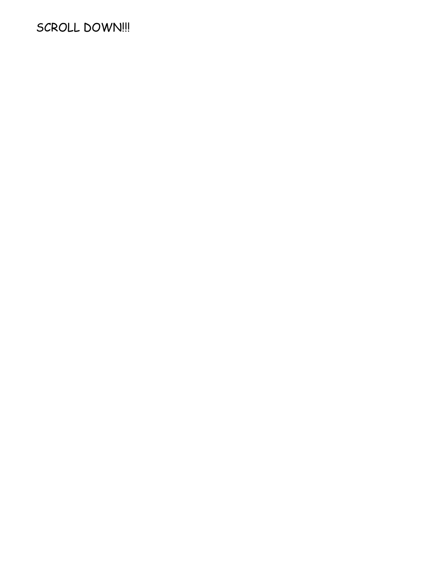# SCROLL DOWN!!!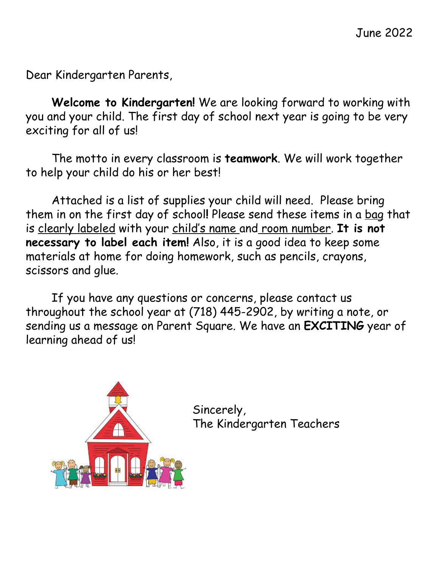Dear Kindergarten Parents,

**Welcome to Kindergarten!** We are looking forward to working with you and your child. The first day of school next year is going to be very exciting for all of us!

The motto in every classroom is **teamwork**. We will work together to help your child do his or her best!

Attached is a list of supplies your child will need. Please bring them in on the first day of school**!** Please send these items in a bag that is clearly labeled with your child's name and room number. **It is not necessary to label each item!** Also, it is a good idea to keep some materials at home for doing homework, such as pencils, crayons, scissors and glue.

If you have any questions or concerns, please contact us throughout the school year at (718) 445-2902, by writing a note, or sending us a message on Parent Square. We have an **EXCITING** year of learning ahead of us!



Sincerely, The Kindergarten Teachers